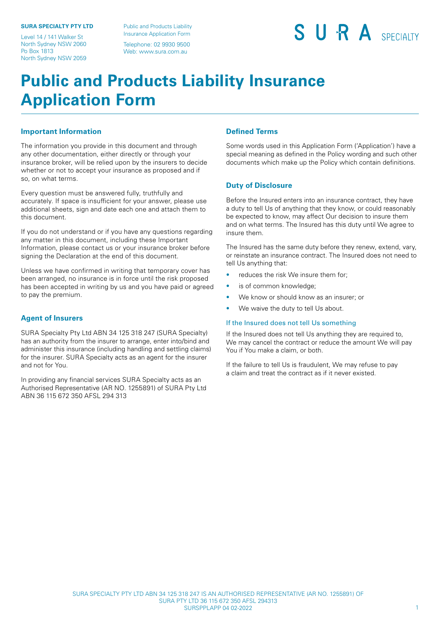#### **SURA SPECIALTY PTY LTD**

Level 14 / 141 Walker St North Sydney NSW 2060 Po Box 1813 North Sydney NSW 2059

Public and Products Liability Insurance Application Form Telephone: 02 9930 9500

Web: [www.sura.com.au](http://www.sura.com.au/)

SURA SPECIAITY

## **Public and Products Liability Insurance Application Form**

### **Important Information**

The information you provide in this document and through any other documentation, either directly or through your insurance broker, will be relied upon by the insurers to decide whether or not to accept your insurance as proposed and if so, on what terms.

Every question must be answered fully, truthfully and accurately. If space is insufficient for your answer, please use additional sheets, sign and date each one and attach them to this document.

If you do not understand or if you have any questions regarding any matter in this document, including these Important Information, please contact us or your insurance broker before signing the Declaration at the end of this document.

Unless we have confirmed in writing that temporary cover has been arranged, no insurance is in force until the risk proposed has been accepted in writing by us and you have paid or agreed to pay the premium.

### **Agent of Insurers**

SURA Specialty Pty Ltd ABN 34 125 318 247 (SURA Specialty) has an authority from the insurer to arrange, enter into/bind and administer this insurance (including handling and settling claims) for the insurer. SURA Specialty acts as an agent for the insurer and not for You.

In providing any financial services SURA Specialty acts as an Authorised Representative (AR NO. 1255891) of SURA Pty Ltd ABN 36 115 672 350 AFSL 294 313

### **Defined Terms**

Some words used in this Application Form ('Application') have a special meaning as defined in the Policy wording and such other documents which make up the Policy which contain definitions.

### **Duty of Disclosure**

Before the Insured enters into an insurance contract, they have a duty to tell Us of anything that they know, or could reasonably be expected to know, may affect Our decision to insure them and on what terms. The Insured has this duty until We agree to insure them.

The Insured has the same duty before they renew, extend, vary, or reinstate an insurance contract. The Insured does not need to tell Us anything that:

- reduces the risk We insure them for;
- is of common knowledge;
- We know or should know as an insurer; or
- We waive the duty to tell Us about.

#### If the Insured does not tell Us something

If the Insured does not tell Us anything they are required to, We may cancel the contract or reduce the amount We will pay You if You make a claim, or both.

If the failure to tell Us is fraudulent, We may refuse to pay a claim and treat the contract as if it never existed.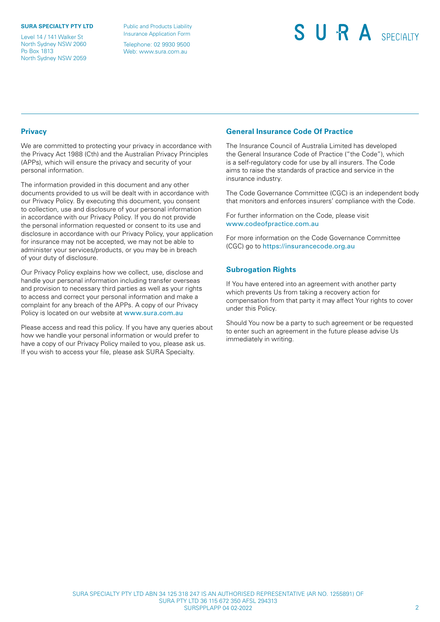#### **SURA SPECIALTY PTY LTD**

Level 14 / 141 Walker St North Sydney NSW 2060 Po Box 1813 North Sydney NSW 2059

Public and Products Liability Insurance Application Form Telephone: 02 9930 9500 Web: [www.sura.com.au](http://www.sura.com.au/)

## SURA SPECIALTY

### **Privacy**

We are committed to protecting your privacy in accordance with the Privacy Act 1988 (Cth) and the Australian Privacy Principles (APPs), which will ensure the privacy and security of your personal information.

The information provided in this document and any other documents provided to us will be dealt with in accordance with our Privacy Policy. By executing this document, you consent to collection, use and disclosure of your personal information in accordance with our Privacy Policy. If you do not provide the personal information requested or consent to its use and disclosure in accordance with our Privacy Policy, your application for insurance may not be accepted, we may not be able to administer your services/products, or you may be in breach of your duty of disclosure.

Our Privacy Policy explains how we collect, use, disclose and handle your personal information including transfer overseas and provision to necessary third parties as well as your rights to access and correct your personal information and make a complaint for any breach of the APPs. A copy of our Privacy Policy is located on our website at [www.sura.com.au](http://www.sura.com.au) 

Please access and read this policy. If you have any queries about how we handle your personal information or would prefer to have a copy of our Privacy Policy mailed to you, please ask us. If you wish to access your file, please ask SURA Specialty.

### **General Insurance Code Of Practice**

The Insurance Council of Australia Limited has developed the General Insurance Code of Practice ("the Code"), which is a self-regulatory code for use by all insurers. The Code aims to raise the standards of practice and service in the insurance industry.

The Code Governance Committee (CGC) is an independent body that monitors and enforces insurers' compliance with the Code.

For further information on the Code, please visit [www.codeofpractice.com.au](http://www.codeofpractice.com.au) 

For more information on the Code Governance Committee (CGC) go to <https://insurancecode.org.au>

### **Subrogation Rights**

If You have entered into an agreement with another party which prevents Us from taking a recovery action for compensation from that party it may affect Your rights to cover under this Policy.

Should You now be a party to such agreement or be requested to enter such an agreement in the future please advise Us immediately in writing.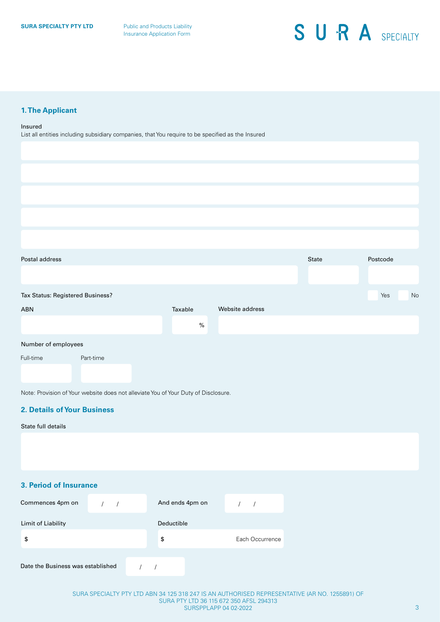### **1. The Applicant**

#### Insured

List all entities including subsidiary companies, that You require to be specified as the Insured

| Postal address                   |           |         |                 | State | Postcode  |
|----------------------------------|-----------|---------|-----------------|-------|-----------|
|                                  |           |         |                 |       |           |
| Tax Status: Registered Business? |           |         |                 |       | Yes<br>No |
| ABN                              |           | Taxable | Website address |       |           |
|                                  |           | $\%$    |                 |       |           |
| Number of employees              |           |         |                 |       |           |
| Full-time                        | Part-time |         |                 |       |           |

Note: Provision of Your website does not alleviate You of Your Duty of Disclosure.

### **2. Details of Your Business**

### State full details

### **3. Period of Insurance**

| Commences 4pm on                  | And ends 4pm on |                 |
|-----------------------------------|-----------------|-----------------|
| Limit of Liability                | Deductible      |                 |
| \$                                | \$              | Each Occurrence |
| Date the Business was established |                 |                 |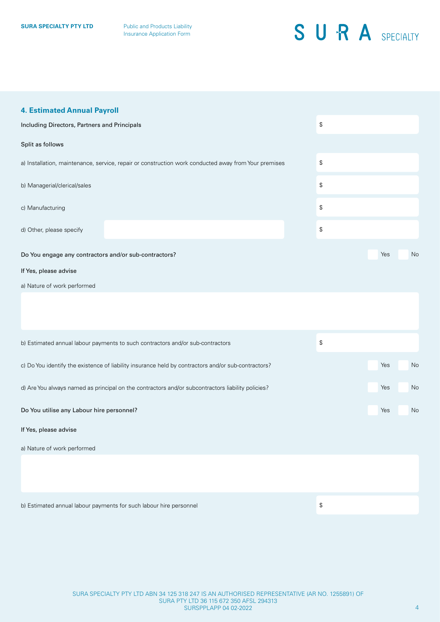### **4. Estimated Annual Payroll**

| Including Directors, Partners and Principals          | ${\mathbb S}$                                                                                        |               |     |    |
|-------------------------------------------------------|------------------------------------------------------------------------------------------------------|---------------|-----|----|
| Split as follows                                      |                                                                                                      |               |     |    |
|                                                       | a) Installation, maintenance, service, repair or construction work conducted away from Your premises | \$            |     |    |
| b) Managerial/clerical/sales                          | \$                                                                                                   |               |     |    |
| c) Manufacturing                                      |                                                                                                      | \$            |     |    |
| d) Other, please specify                              |                                                                                                      | ${\mathbb S}$ |     |    |
| Do You engage any contractors and/or sub-contractors? |                                                                                                      |               | Yes | No |
| If Yes, please advise                                 |                                                                                                      |               |     |    |
| a) Nature of work performed                           |                                                                                                      |               |     |    |
|                                                       |                                                                                                      |               |     |    |
|                                                       |                                                                                                      |               |     |    |
|                                                       | b) Estimated annual labour payments to such contractors and/or sub-contractors                       | \$            |     |    |
|                                                       | c) Do You identify the existence of liability insurance held by contractors and/or sub-contractors?  |               | Yes | No |
|                                                       | d) Are You always named as principal on the contractors and/or subcontractors liability policies?    |               | Yes | No |

Do You utilise any Labour hire personnel?

#### If Yes, please advise

a) Nature of work performed

b) Estimated annual labour payments for such labour hire personnel

\$

Yes

No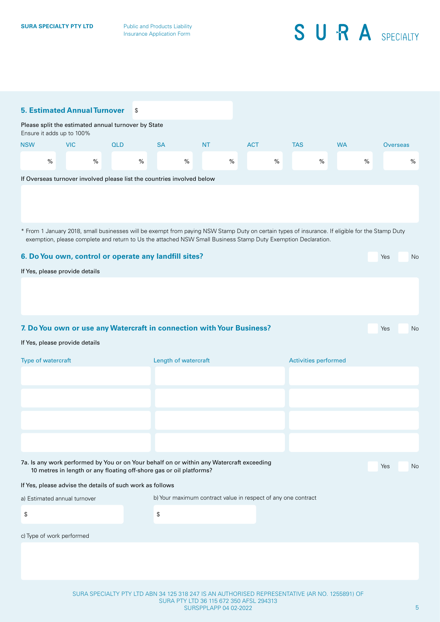|                                | <b>5. Estimated Annual Turnover</b>                                                                                                                             |            | \$        |                                                               |      |            |      |                             |           |      |                 |
|--------------------------------|-----------------------------------------------------------------------------------------------------------------------------------------------------------------|------------|-----------|---------------------------------------------------------------|------|------------|------|-----------------------------|-----------|------|-----------------|
|                                | Please split the estimated annual turnover by State                                                                                                             |            |           |                                                               |      |            |      |                             |           |      |                 |
| Ensure it adds up to 100%      |                                                                                                                                                                 |            |           |                                                               |      |            |      |                             |           |      |                 |
| <b>NSW</b>                     | <b>VIC</b>                                                                                                                                                      | <b>QLD</b> | <b>SA</b> | NT.                                                           |      | <b>ACT</b> |      | <b>TAS</b>                  | <b>WA</b> |      | <b>Overseas</b> |
| $\%$                           | $\%$                                                                                                                                                            |            | $\%$      | $\%$                                                          | $\%$ |            | $\%$ | $\%$                        |           | $\%$ | %               |
|                                | If Overseas turnover involved please list the countries involved below                                                                                          |            |           |                                                               |      |            |      |                             |           |      |                 |
|                                |                                                                                                                                                                 |            |           |                                                               |      |            |      |                             |           |      |                 |
|                                |                                                                                                                                                                 |            |           |                                                               |      |            |      |                             |           |      |                 |
|                                | * From 1 January 2018, small businesses will be exempt from paying NSW Stamp Duty on certain types of insurance. If eligible for the Stamp Duty                 |            |           |                                                               |      |            |      |                             |           |      |                 |
|                                | exemption, please complete and return to Us the attached NSW Small Business Stamp Duty Exemption Declaration.                                                   |            |           |                                                               |      |            |      |                             |           |      |                 |
|                                | 6. Do You own, control or operate any landfill sites?                                                                                                           |            |           |                                                               |      |            |      |                             |           | Yes  | No              |
| If Yes, please provide details |                                                                                                                                                                 |            |           |                                                               |      |            |      |                             |           |      |                 |
|                                |                                                                                                                                                                 |            |           |                                                               |      |            |      |                             |           |      |                 |
|                                |                                                                                                                                                                 |            |           |                                                               |      |            |      |                             |           |      |                 |
|                                |                                                                                                                                                                 |            |           |                                                               |      |            |      |                             |           |      |                 |
|                                | 7. Do You own or use any Watercraft in connection with Your Business?                                                                                           |            |           |                                                               |      |            |      |                             |           | Yes  | No              |
| If Yes, please provide details |                                                                                                                                                                 |            |           |                                                               |      |            |      |                             |           |      |                 |
| Type of watercraft             |                                                                                                                                                                 |            |           | Length of watercraft                                          |      |            |      | <b>Activities performed</b> |           |      |                 |
|                                |                                                                                                                                                                 |            |           |                                                               |      |            |      |                             |           |      |                 |
|                                |                                                                                                                                                                 |            |           |                                                               |      |            |      |                             |           |      |                 |
|                                |                                                                                                                                                                 |            |           |                                                               |      |            |      |                             |           |      |                 |
|                                |                                                                                                                                                                 |            |           |                                                               |      |            |      |                             |           |      |                 |
|                                |                                                                                                                                                                 |            |           |                                                               |      |            |      |                             |           |      |                 |
|                                |                                                                                                                                                                 |            |           |                                                               |      |            |      |                             |           |      |                 |
|                                | 7a. Is any work performed by You or on Your behalf on or within any Watercraft exceeding<br>10 metres in length or any floating off-shore gas or oil platforms? |            |           |                                                               |      |            |      |                             |           | Yes  | No              |
|                                | If Yes, please advise the details of such work as follows                                                                                                       |            |           |                                                               |      |            |      |                             |           |      |                 |
| a) Estimated annual turnover   |                                                                                                                                                                 |            |           | b) Your maximum contract value in respect of any one contract |      |            |      |                             |           |      |                 |
| ${\mathbb S}$                  |                                                                                                                                                                 |            | \$        |                                                               |      |            |      |                             |           |      |                 |
|                                |                                                                                                                                                                 |            |           |                                                               |      |            |      |                             |           |      |                 |
| c) Type of work performed      |                                                                                                                                                                 |            |           |                                                               |      |            |      |                             |           |      |                 |
|                                |                                                                                                                                                                 |            |           |                                                               |      |            |      |                             |           |      |                 |
|                                |                                                                                                                                                                 |            |           |                                                               |      |            |      |                             |           |      |                 |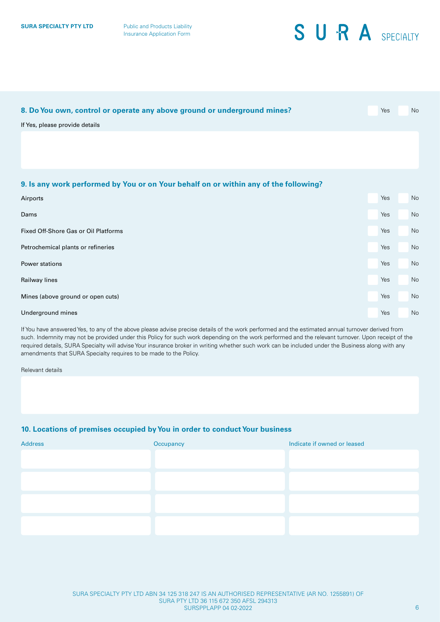| 8. Do You own, control or operate any above ground or underground mines?             | Yes | No |
|--------------------------------------------------------------------------------------|-----|----|
| If Yes, please provide details                                                       |     |    |
|                                                                                      |     |    |
|                                                                                      |     |    |
| 9. Is any work performed by You or on Your behalf on or within any of the following? |     |    |
| Airports                                                                             | Yes | No |
| Dams                                                                                 | Yes | No |
| Fixed Off-Shore Gas or Oil Platforms                                                 | Yes | No |
| Petrochemical plants or refineries                                                   | Yes | No |
| Power stations                                                                       | Yes | No |
| Railway lines                                                                        | Yes | No |
| Mines (above ground or open cuts)                                                    | Yes | No |
| Underground mines                                                                    | Yes | No |

If You have answered Yes, to any of the above please advise precise details of the work performed and the estimated annual turnover derived from such. Indemnity may not be provided under this Policy for such work depending on the work performed and the relevant turnover. Upon receipt of the required details, SURA Specialty will advise Your insurance broker in writing whether such work can be included under the Business along with any amendments that SURA Specialty requires to be made to the Policy.

Relevant details

### **10. Locations of premises occupied by You in order to conduct Your business**

| <b>Address</b> | Occupancy | Indicate if owned or leased |
|----------------|-----------|-----------------------------|
|                |           |                             |
|                |           |                             |
|                |           |                             |
|                |           |                             |
|                |           |                             |
|                |           |                             |
|                |           |                             |
|                |           |                             |
|                |           |                             |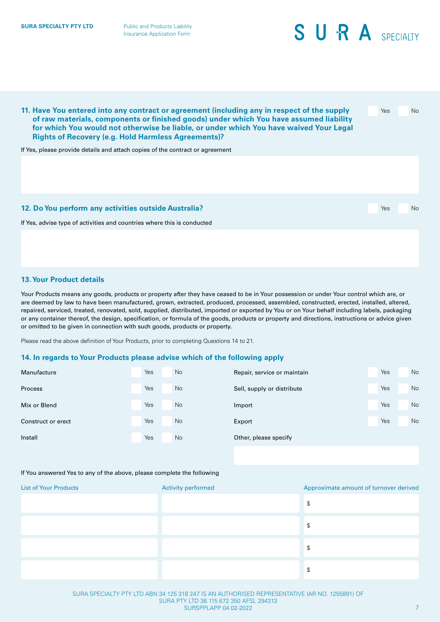**11. Have You entered into any contract or agreement (including any in respect of the supply of raw materials, components or finished goods) under which You have assumed liability for which You would not otherwise be liable, or under which You have waived Your Legal Rights of Recovery (e.g. Hold Harmless Agreements)?** If Yes, please provide details and attach copies of the contract or agreement Yes No If Yes, advise type of activities and countries where this is conducted **12. Do You perform any activities outside Australia?** The Contract of the Contract of the Vesting of No. 2014. The Vesting of No

### **13. Your Product details**

Your Products means any goods, products or property after they have ceased to be in Your possession or under Your control which are, or are deemed by law to have been manufactured, grown, extracted, produced, processed, assembled, constructed, erected, installed, altered, repaired, serviced, treated, renovated, sold, supplied, distributed, imported or exported by You or on Your behalf including labels, packaging or any container thereof, the design, specification, or formula of the goods, products or property and directions, instructions or advice given or omitted to be given in connection with such goods, products or property.

Please read the above definition of Your Products, prior to completing Questions 14 to 21.

#### **14. In regards to Your Products please advise which of the following apply**

| Manufacture        | Yes | No        | Repair, service or maintain | Yes | No |
|--------------------|-----|-----------|-----------------------------|-----|----|
| Process            | Yes | No        | Sell, supply or distribute  | Yes | No |
| Mix or Blend       | Yes | <b>No</b> | Import                      | Yes | No |
| Construct or erect | Yes | No        | Export                      | Yes | No |
| Install            | Yes | No        | Other, please specify       |     |    |

#### If You answered Yes to any of the above, please complete the following

| <b>List of Your Products</b> | Activity performed | Approximate amount of turnover derived |
|------------------------------|--------------------|----------------------------------------|
|                              |                    | \$                                     |
|                              |                    | \$                                     |
|                              |                    | \$                                     |
|                              |                    | \$                                     |

SURA SPECIALTY PTY LTD ABN 34 125 318 247 IS AN AUTHORISED REPRESENTATIVE (AR NO. 1255891) OF SURA PTY LTD 36 115 672 350 AFSL 294313 SURSPPLAPP 04 02-2022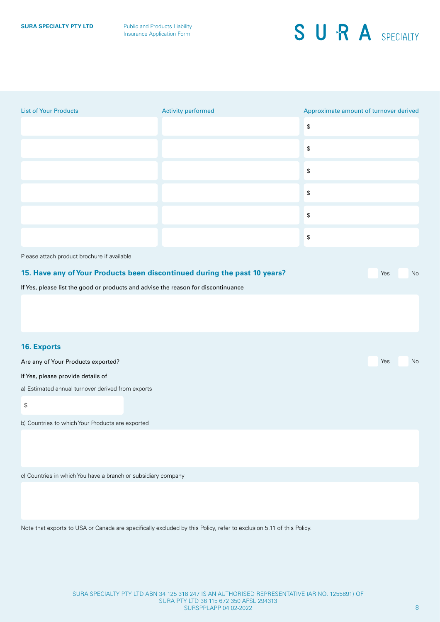| <b>List of Your Products</b>                                                      | Activity performed                                                                                                   | Approximate amount of turnover derived            |
|-----------------------------------------------------------------------------------|----------------------------------------------------------------------------------------------------------------------|---------------------------------------------------|
|                                                                                   |                                                                                                                      | $\, \, \raisebox{-1.5pt}{\text{\circle*{1.5}}}\,$ |
|                                                                                   |                                                                                                                      | $\, \, \mathbb{S} \,$                             |
|                                                                                   |                                                                                                                      | $\mathbb{S}$                                      |
|                                                                                   |                                                                                                                      | $\, \, \mathbb{S} \,$                             |
|                                                                                   |                                                                                                                      | $\mathbb{S}$                                      |
|                                                                                   |                                                                                                                      | $\mathbb{S}$                                      |
| Please attach product brochure if available                                       |                                                                                                                      |                                                   |
|                                                                                   | 15. Have any of Your Products been discontinued during the past 10 years?                                            | Yes<br>No                                         |
| If Yes, please list the good or products and advise the reason for discontinuance |                                                                                                                      |                                                   |
|                                                                                   |                                                                                                                      |                                                   |
| 16. Exports                                                                       |                                                                                                                      |                                                   |
| Are any of Your Products exported?                                                |                                                                                                                      | $\operatorname{\mathsf{No}}$<br>Yes               |
| If Yes, please provide details of                                                 |                                                                                                                      |                                                   |
| a) Estimated annual turnover derived from exports                                 |                                                                                                                      |                                                   |
| \$                                                                                |                                                                                                                      |                                                   |
| b) Countries to which Your Products are exported                                  |                                                                                                                      |                                                   |
|                                                                                   |                                                                                                                      |                                                   |
| c) Countries in which You have a branch or subsidiary company                     |                                                                                                                      |                                                   |
|                                                                                   |                                                                                                                      |                                                   |
|                                                                                   | Note that exports to USA or Canada are specifically excluded by this Policy, refer to exclusion 5.11 of this Policy. |                                                   |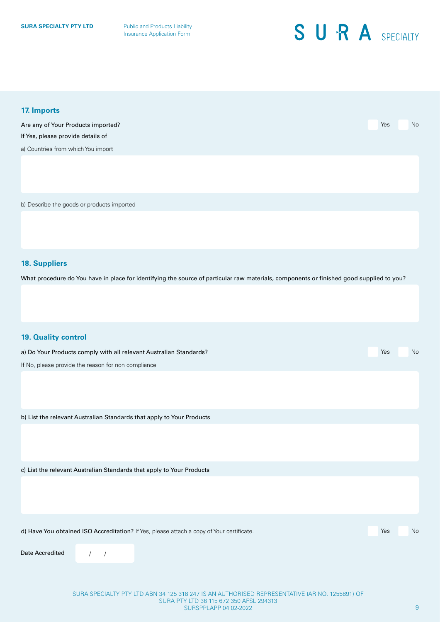**SURA SPECIALTY PTY LTD** Public and Products Liability Insurance Application Form

## SURA SPECIALTY

| 17. Imports                                                                                                                              |     |    |
|------------------------------------------------------------------------------------------------------------------------------------------|-----|----|
| Are any of Your Products imported?                                                                                                       | Yes | No |
| If Yes, please provide details of                                                                                                        |     |    |
| a) Countries from which You import                                                                                                       |     |    |
|                                                                                                                                          |     |    |
| b) Describe the goods or products imported                                                                                               |     |    |
|                                                                                                                                          |     |    |
| <b>18. Suppliers</b>                                                                                                                     |     |    |
| What procedure do You have in place for identifying the source of particular raw materials, components or finished good supplied to you? |     |    |
|                                                                                                                                          |     |    |
| <b>19. Quality control</b>                                                                                                               |     |    |
| a) Do Your Products comply with all relevant Australian Standards?                                                                       | Yes | No |
| If No, please provide the reason for non compliance                                                                                      |     |    |
|                                                                                                                                          |     |    |
| b) List the relevant Australian Standards that apply to Your Products                                                                    |     |    |
|                                                                                                                                          |     |    |
| c) List the relevant Australian Standards that apply to Your Products                                                                    |     |    |
|                                                                                                                                          |     |    |
| d) Have You obtained ISO Accreditation? If Yes, please attach a copy of Your certificate.                                                | Yes | No |
| Date Accredited<br>$\sqrt{ }$<br>$\sqrt{ }$                                                                                              |     |    |
|                                                                                                                                          |     |    |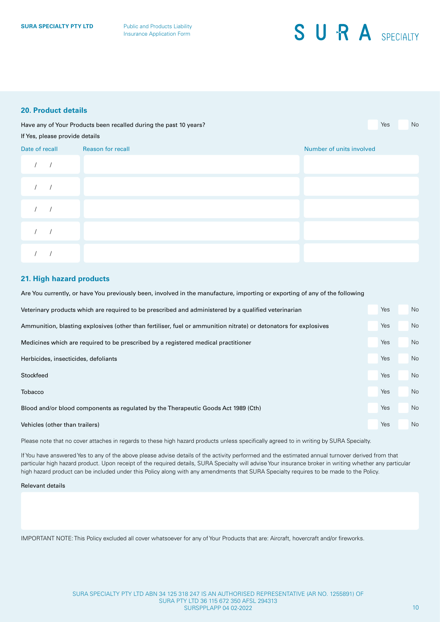### **20. Product details**

Have any of Your Products been recalled during the past 10 years? The new Your North Communication of North Communication of North Communication of North Communication of North Communication of North Communication of North

#### If Yes, please provide details

| Date of recall | Reason for recall | Number of units involved |
|----------------|-------------------|--------------------------|
|                |                   |                          |
|                |                   |                          |
|                |                   |                          |
|                |                   |                          |
|                |                   |                          |

### **21. High hazard products**

Are You currently, or have You previously been, involved in the manufacture, importing or exporting of any of the following

| Veterinary products which are required to be prescribed and administered by a qualified veterinarian             | Yes | No |
|------------------------------------------------------------------------------------------------------------------|-----|----|
| Ammunition, blasting explosives (other than fertiliser, fuel or ammunition nitrate) or detonators for explosives | Yes | No |
| Medicines which are required to be prescribed by a registered medical practitioner                               | Yes | No |
| Herbicides, insecticides, defoliants                                                                             | Yes | No |
| Stockfeed                                                                                                        | Yes | No |
| Tobacco                                                                                                          | Yes | No |
| Blood and/or blood components as regulated by the Therapeutic Goods Act 1989 (Cth)                               | Yes | No |
| Vehicles (other than trailers)                                                                                   | Yes | No |

Please note that no cover attaches in regards to these high hazard products unless specifically agreed to in writing by SURA Specialty.

If You have answered Yes to any of the above please advise details of the activity performed and the estimated annual turnover derived from that particular high hazard product. Upon receipt of the required details, SURA Specialty will advise Your insurance broker in writing whether any particular high hazard product can be included under this Policy along with any amendments that SURA Specialty requires to be made to the Policy.

#### Relevant details

IMPORTANT NOTE: This Policy excluded all cover whatsoever for any of Your Products that are: Aircraft, hovercraft and/or fireworks.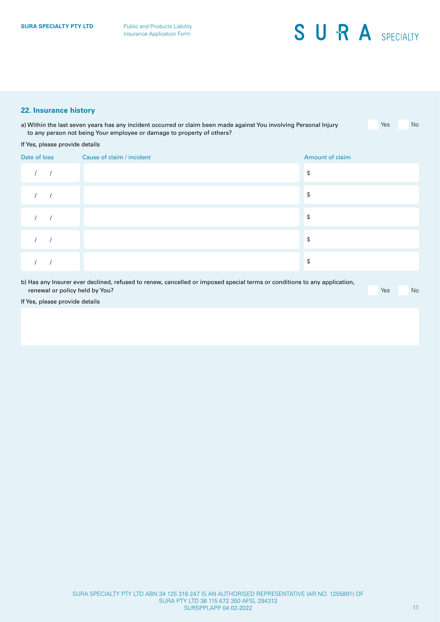### **22. Insurance history**

| a) Within the last seven years has any incident occurred or claim been made against You involving Personal Injury | Yes | <b>No</b> |
|-------------------------------------------------------------------------------------------------------------------|-----|-----------|
| to any person not being Your employee or damage to property of others?                                            |     |           |

#### If Yes, please provide details

| Date of loss | Cause of claim / incident | Amount of claim |
|--------------|---------------------------|-----------------|
| $\sqrt{2}$   |                           | \$              |
|              |                           | \$              |
|              |                           | \$              |
|              |                           | \$              |
|              |                           | \$              |

b) Has any Insurer ever declined, refused to renew, cancelled or imposed special terms or conditions to any application, **renewal or policy held by You?** Yes Note No. 2012 12:00:00 PM A 2012 12:00:00 PM A 2012 12:00:00 PM A 2012 12:00

If Yes, please provide details